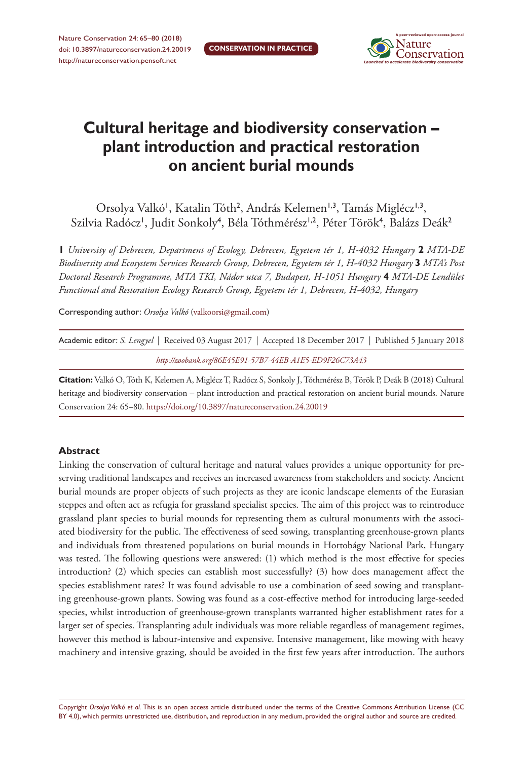

# **Cultural heritage and biodiversity conservation – plant introduction and practical restoration on ancient burial mounds**

Orsolya Valkó<sup>1</sup>, Katalin Tóth<sup>2</sup>, András Kelemen<sup>1,3</sup>, Tamás Miglécz<sup>1,3</sup>, Szilvia Radócz', Judit Sonkoly<sup>4</sup>, Béla Tóthmérész<sup>1,2</sup>, Péter Török<sup>4</sup>, Balázs Deák<sup>2</sup>

**1** *University of Debrecen, Department of Ecology, Debrecen, Egyetem tér 1, H-4032 Hungary* **2** *MTA-DE Biodiversity and Ecosystem Services Research Group, Debrecen, Egyetem tér 1, H-4032 Hungary* **3** *MTA's Post Doctoral Research Programme, MTA TKI, Nádor utca 7, Budapest, H-1051 Hungary* **4** *MTA-DE Lendület Functional and Restoration Ecology Research Group, Egyetem tér 1, Debrecen, H-4032, Hungary*

Corresponding author: *Orsolya Valkó* [\(valkoorsi@gmail.com\)](mailto:valkoorsi@gmail.com)

|  | Academic editor: S. Lengyel   Received 03 August 2017   Accepted 18 December 2017   Published 5 January 2018 |  |
|--|--------------------------------------------------------------------------------------------------------------|--|
|  | http://zoobank.org/86E45E91-57B7-44EB-A1E5-ED9F26C73A43                                                      |  |

**Citation:** Valkó O, Tóth K, Kelemen A, Miglécz T, Radócz S, Sonkoly J, Tóthmérész B, Török P, Deák B (2018) Cultural heritage and biodiversity conservation – plant introduction and practical restoration on ancient burial mounds. Nature Conservation 24: 65–80. <https://doi.org/10.3897/natureconservation.24.20019>

### **Abstract**

Linking the conservation of cultural heritage and natural values provides a unique opportunity for preserving traditional landscapes and receives an increased awareness from stakeholders and society. Ancient burial mounds are proper objects of such projects as they are iconic landscape elements of the Eurasian steppes and often act as refugia for grassland specialist species. The aim of this project was to reintroduce grassland plant species to burial mounds for representing them as cultural monuments with the associated biodiversity for the public. The effectiveness of seed sowing, transplanting greenhouse-grown plants and individuals from threatened populations on burial mounds in Hortobágy National Park, Hungary was tested. The following questions were answered: (1) which method is the most effective for species introduction? (2) which species can establish most successfully? (3) how does management affect the species establishment rates? It was found advisable to use a combination of seed sowing and transplanting greenhouse-grown plants. Sowing was found as a cost-effective method for introducing large-seeded species, whilst introduction of greenhouse-grown transplants warranted higher establishment rates for a larger set of species. Transplanting adult individuals was more reliable regardless of management regimes, however this method is labour-intensive and expensive. Intensive management, like mowing with heavy machinery and intensive grazing, should be avoided in the first few years after introduction. The authors

Copyright *Orsolya Valkó et al.* This is an open access article distributed under the terms of the [Creative Commons Attribution License \(CC](http://creativecommons.org/licenses/by/4.0/)  [BY 4.0\)](http://creativecommons.org/licenses/by/4.0/), which permits unrestricted use, distribution, and reproduction in any medium, provided the original author and source are credited.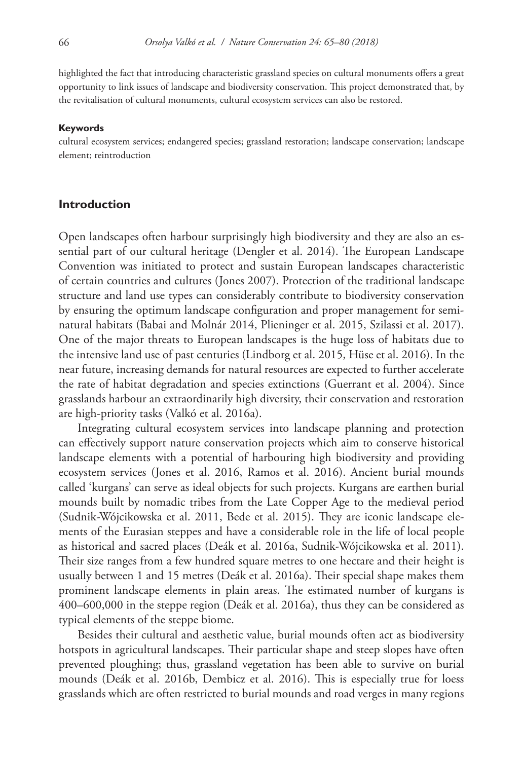highlighted the fact that introducing characteristic grassland species on cultural monuments offers a great opportunity to link issues of landscape and biodiversity conservation. This project demonstrated that, by the revitalisation of cultural monuments, cultural ecosystem services can also be restored.

#### **Keywords**

cultural ecosystem services; endangered species; grassland restoration; landscape conservation; landscape element; reintroduction

#### **Introduction**

Open landscapes often harbour surprisingly high biodiversity and they are also an essential part of our cultural heritage (Dengler et al. 2014). The European Landscape Convention was initiated to protect and sustain European landscapes characteristic of certain countries and cultures (Jones 2007). Protection of the traditional landscape structure and land use types can considerably contribute to biodiversity conservation by ensuring the optimum landscape configuration and proper management for seminatural habitats (Babai and Molnár 2014, Plieninger et al. 2015, Szilassi et al. 2017). One of the major threats to European landscapes is the huge loss of habitats due to the intensive land use of past centuries (Lindborg et al. 2015, Hüse et al. 2016). In the near future, increasing demands for natural resources are expected to further accelerate the rate of habitat degradation and species extinctions (Guerrant et al. 2004). Since grasslands harbour an extraordinarily high diversity, their conservation and restoration are high-priority tasks (Valkó et al. 2016a).

Integrating cultural ecosystem services into landscape planning and protection can effectively support nature conservation projects which aim to conserve historical landscape elements with a potential of harbouring high biodiversity and providing ecosystem services (Jones et al. 2016, Ramos et al. 2016). Ancient burial mounds called 'kurgans' can serve as ideal objects for such projects. Kurgans are earthen burial mounds built by nomadic tribes from the Late Copper Age to the medieval period (Sudnik-Wójcikowska et al. 2011, Bede et al. 2015). They are iconic landscape elements of the Eurasian steppes and have a considerable role in the life of local people as historical and sacred places (Deák et al. 2016a, Sudnik-Wójcikowska et al. 2011). Their size ranges from a few hundred square metres to one hectare and their height is usually between 1 and 15 metres (Deák et al. 2016a). Their special shape makes them prominent landscape elements in plain areas. The estimated number of kurgans is 400–600,000 in the steppe region (Deák et al. 2016a), thus they can be considered as typical elements of the steppe biome.

Besides their cultural and aesthetic value, burial mounds often act as biodiversity hotspots in agricultural landscapes. Their particular shape and steep slopes have often prevented ploughing; thus, grassland vegetation has been able to survive on burial mounds (Deák et al. 2016b, Dembicz et al. 2016). This is especially true for loess grasslands which are often restricted to burial mounds and road verges in many regions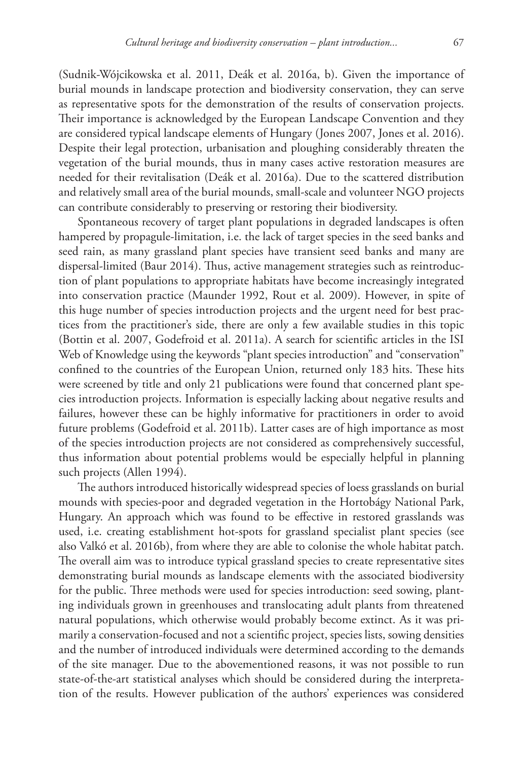(Sudnik-Wójcikowska et al. 2011, Deák et al. 2016a, b). Given the importance of burial mounds in landscape protection and biodiversity conservation, they can serve as representative spots for the demonstration of the results of conservation projects. Their importance is acknowledged by the European Landscape Convention and they are considered typical landscape elements of Hungary (Jones 2007, Jones et al. 2016). Despite their legal protection, urbanisation and ploughing considerably threaten the vegetation of the burial mounds, thus in many cases active restoration measures are needed for their revitalisation (Deák et al. 2016a). Due to the scattered distribution and relatively small area of the burial mounds, small-scale and volunteer NGO projects can contribute considerably to preserving or restoring their biodiversity.

Spontaneous recovery of target plant populations in degraded landscapes is often hampered by propagule-limitation, i.e. the lack of target species in the seed banks and seed rain, as many grassland plant species have transient seed banks and many are dispersal-limited (Baur 2014). Thus, active management strategies such as reintroduction of plant populations to appropriate habitats have become increasingly integrated into conservation practice (Maunder 1992, Rout et al. 2009). However, in spite of this huge number of species introduction projects and the urgent need for best practices from the practitioner's side, there are only a few available studies in this topic (Bottin et al. 2007, Godefroid et al. 2011a). A search for scientific articles in the ISI Web of Knowledge using the keywords "plant species introduction" and "conservation" confined to the countries of the European Union, returned only 183 hits. These hits were screened by title and only 21 publications were found that concerned plant species introduction projects. Information is especially lacking about negative results and failures, however these can be highly informative for practitioners in order to avoid future problems (Godefroid et al. 2011b). Latter cases are of high importance as most of the species introduction projects are not considered as comprehensively successful, thus information about potential problems would be especially helpful in planning such projects (Allen 1994).

The authors introduced historically widespread species of loess grasslands on burial mounds with species-poor and degraded vegetation in the Hortobágy National Park, Hungary. An approach which was found to be effective in restored grasslands was used, i.e. creating establishment hot-spots for grassland specialist plant species (see also Valkó et al. 2016b), from where they are able to colonise the whole habitat patch. The overall aim was to introduce typical grassland species to create representative sites demonstrating burial mounds as landscape elements with the associated biodiversity for the public. Three methods were used for species introduction: seed sowing, planting individuals grown in greenhouses and translocating adult plants from threatened natural populations, which otherwise would probably become extinct. As it was primarily a conservation-focused and not a scientific project, species lists, sowing densities and the number of introduced individuals were determined according to the demands of the site manager. Due to the abovementioned reasons, it was not possible to run state-of-the-art statistical analyses which should be considered during the interpretation of the results. However publication of the authors' experiences was considered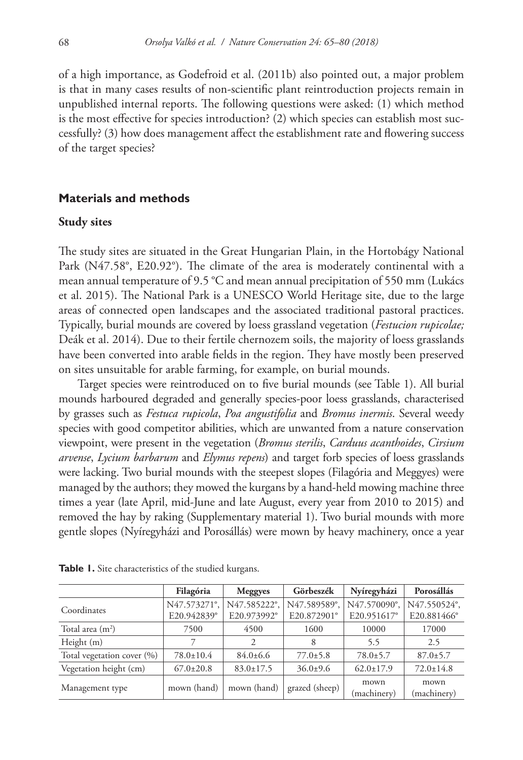of a high importance, as Godefroid et al. (2011b) also pointed out, a major problem is that in many cases results of non-scientific plant reintroduction projects remain in unpublished internal reports. The following questions were asked: (1) which method is the most effective for species introduction? (2) which species can establish most successfully? (3) how does management affect the establishment rate and flowering success of the target species?

## **Materials and methods**

#### **Study sites**

The study sites are situated in the Great Hungarian Plain, in the Hortobágy National Park (N47.58°, E20.92°). The climate of the area is moderately continental with a mean annual temperature of 9.5 °C and mean annual precipitation of 550 mm (Lukács et al. 2015). The National Park is a UNESCO World Heritage site, due to the large areas of connected open landscapes and the associated traditional pastoral practices. Typically, burial mounds are covered by loess grassland vegetation (*Festucion rupicolae;*  Deák et al. 2014). Due to their fertile chernozem soils, the majority of loess grasslands have been converted into arable fields in the region. They have mostly been preserved on sites unsuitable for arable farming, for example, on burial mounds.

Target species were reintroduced on to five burial mounds (see Table 1). All burial mounds harboured degraded and generally species-poor loess grasslands, characterised by grasses such as *Festuca rupicola*, *Poa angustifolia* and *Bromus inermis*. Several weedy species with good competitor abilities, which are unwanted from a nature conservation viewpoint, were present in the vegetation (*Bromus sterilis*, *Carduus acanthoides*, *Cirsium arvense*, *Lycium barbarum* and *Elymus repens*) and target forb species of loess grasslands were lacking. Two burial mounds with the steepest slopes (Filagória and Meggyes) were managed by the authors; they mowed the kurgans by a hand-held mowing machine three times a year (late April, mid-June and late August, every year from 2010 to 2015) and removed the hay by raking (Supplementary material 1). Two burial mounds with more gentle slopes (Nyíregyházi and Porosállás) were mown by heavy machinery, once a year

|                            | Filagória       | <b>Meggyes</b>  | Görbeszék      | Nyíregyházi     | Porosállás      |
|----------------------------|-----------------|-----------------|----------------|-----------------|-----------------|
| Coordinates                | N47.573271°,    | N47.585222°,    | N47.589589°,   | N47.570090°,    | N47.550524°,    |
|                            | E20.942839°     | E20.973992°     | E20.872901°    | E20.951617°     | E20.881466°     |
| Total area $(m2)$          | 7500            | 4500            | 1600           | 10000           | 17000           |
| Height (m)                 |                 | 2               | 8              | 5.5             | 2.5             |
| Total vegetation cover (%) | $78.0 \pm 10.4$ | $84.0 \pm 6.6$  | $77.0 \pm 5.8$ | $78.0 \pm 5.7$  | $87.0 \pm 5.7$  |
| Vegetation height (cm)     | $67.0 \pm 20.8$ | $83.0 \pm 17.5$ | $36.0 \pm 9.6$ | $62.0 \pm 17.9$ | $72.0 \pm 14.8$ |
| Management type            | mown (hand)     | mown (hand)     | grazed (sheep) | mown            | mown            |
|                            |                 |                 |                | (machinery)     | (machinery)     |

**Table 1.** Site characteristics of the studied kurgans.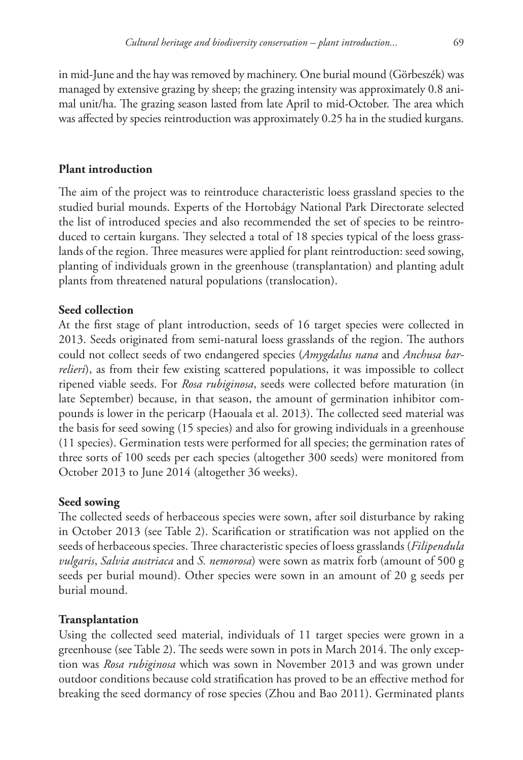in mid-June and the hay was removed by machinery. One burial mound (Görbeszék) was managed by extensive grazing by sheep; the grazing intensity was approximately 0.8 animal unit/ha. The grazing season lasted from late April to mid-October. The area which was affected by species reintroduction was approximately 0.25 ha in the studied kurgans.

## **Plant introduction**

The aim of the project was to reintroduce characteristic loess grassland species to the studied burial mounds. Experts of the Hortobágy National Park Directorate selected the list of introduced species and also recommended the set of species to be reintroduced to certain kurgans. They selected a total of 18 species typical of the loess grasslands of the region. Three measures were applied for plant reintroduction: seed sowing, planting of individuals grown in the greenhouse (transplantation) and planting adult plants from threatened natural populations (translocation).

## **Seed collection**

At the first stage of plant introduction, seeds of 16 target species were collected in 2013. Seeds originated from semi-natural loess grasslands of the region. The authors could not collect seeds of two endangered species (*Amygdalus nana* and *Anchusa barrelieri*), as from their few existing scattered populations, it was impossible to collect ripened viable seeds. For *Rosa rubiginosa*, seeds were collected before maturation (in late September) because, in that season, the amount of germination inhibitor compounds is lower in the pericarp (Haouala et al. 2013). The collected seed material was the basis for seed sowing (15 species) and also for growing individuals in a greenhouse (11 species). Germination tests were performed for all species; the germination rates of three sorts of 100 seeds per each species (altogether 300 seeds) were monitored from October 2013 to June 2014 (altogether 36 weeks).

### **Seed sowing**

The collected seeds of herbaceous species were sown, after soil disturbance by raking in October 2013 (see Table 2). Scarification or stratification was not applied on the seeds of herbaceous species. Three characteristic species of loess grasslands (*Filipendula vulgaris*, *Salvia austriaca* and *S. nemorosa*) were sown as matrix forb (amount of 500 g seeds per burial mound). Other species were sown in an amount of 20 g seeds per burial mound.

### **Transplantation**

Using the collected seed material, individuals of 11 target species were grown in a greenhouse (see Table 2). The seeds were sown in pots in March 2014. The only exception was *Rosa rubiginosa* which was sown in November 2013 and was grown under outdoor conditions because cold stratification has proved to be an effective method for breaking the seed dormancy of rose species (Zhou and Bao 2011). Germinated plants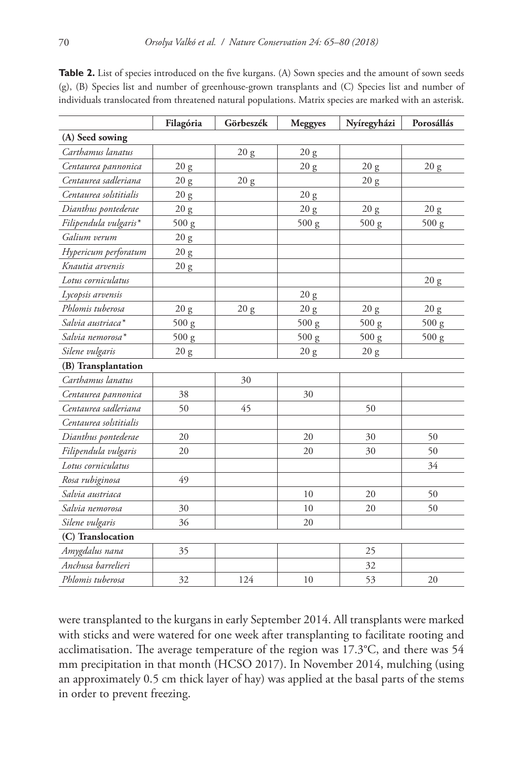|                        | Filagória     | Görbeszék        | <b>Meggyes</b> | Nyíregyházi | Porosállás |
|------------------------|---------------|------------------|----------------|-------------|------------|
| (A) Seed sowing        |               |                  |                |             |            |
| Carthamus lanatus      |               | 20 g             | 20 g           |             |            |
| Centaurea pannonica    | 20 g          |                  | 20 g           | 20 g        | 20 g       |
| Centaurea sadleriana   | 20 g          | $20\ \mathrm{g}$ |                | 20 g        |            |
| Centaurea solstitialis | 20 g          |                  | 20 g           |             |            |
| Dianthus pontederae    | $20\ {\rm g}$ |                  | 20 g           | 20 g        | 20 g       |
| Filipendula vulgaris*  | 500 g         |                  | 500 g          | 500 g       | 500 g      |
| Galium verum           | 20 g          |                  |                |             |            |
| Hypericum perforatum   | 20 g          |                  |                |             |            |
| Knautia arvensis       | 20 g          |                  |                |             |            |
| Lotus corniculatus     |               |                  |                |             | 20 g       |
| Lycopsis arvensis      |               |                  | 20 g           |             |            |
| Phlomis tuberosa       | 20 g          | 20 g             | 20 g           | 20 g        | 20 g       |
| Salvia austriaca*      | 500 g         |                  | 500 g          | 500 g       | 500 g      |
| Salvia nemorosa*       | 500 g         |                  | 500 g          | 500 g       | 500 g      |
| Silene vulgaris        | 20 g          |                  | 20 g           | 20 g        |            |
| (B) Transplantation    |               |                  |                |             |            |
| Carthamus lanatus      |               | 30               |                |             |            |
| Centaurea pannonica    | 38            |                  | 30             |             |            |
| Centaurea sadleriana   | 50            | 45               |                | 50          |            |
| Centaurea solstitialis |               |                  |                |             |            |
| Dianthus pontederae    | 20            |                  | 20             | 30          | 50         |
| Filipendula vulgaris   | 20            |                  | 20             | 30          | 50         |
| Lotus corniculatus     |               |                  |                |             | 34         |
| Rosa rubiginosa        | 49            |                  |                |             |            |
| Salvia austriaca       |               |                  | 10             | 20          | 50         |
| Salvia nemorosa        | 30            |                  | 10             | 20          | 50         |
| Silene vulgaris        | 36            |                  | 20             |             |            |
| (C) Translocation      |               |                  |                |             |            |
| Amygdalus nana         | 35            |                  |                | 25          |            |
| Anchusa barrelieri     |               |                  |                | 32          |            |
| Phlomis tuberosa       | 32            | 124              | 10             | 53          | 20         |

**Table 2.** List of species introduced on the five kurgans. (A) Sown species and the amount of sown seeds (g), (B) Species list and number of greenhouse-grown transplants and (C) Species list and number of individuals translocated from threatened natural populations. Matrix species are marked with an asterisk.

were transplanted to the kurgans in early September 2014. All transplants were marked with sticks and were watered for one week after transplanting to facilitate rooting and acclimatisation. The average temperature of the region was 17.3°C, and there was 54 mm precipitation in that month (HCSO 2017). In November 2014, mulching (using an approximately 0.5 cm thick layer of hay) was applied at the basal parts of the stems in order to prevent freezing.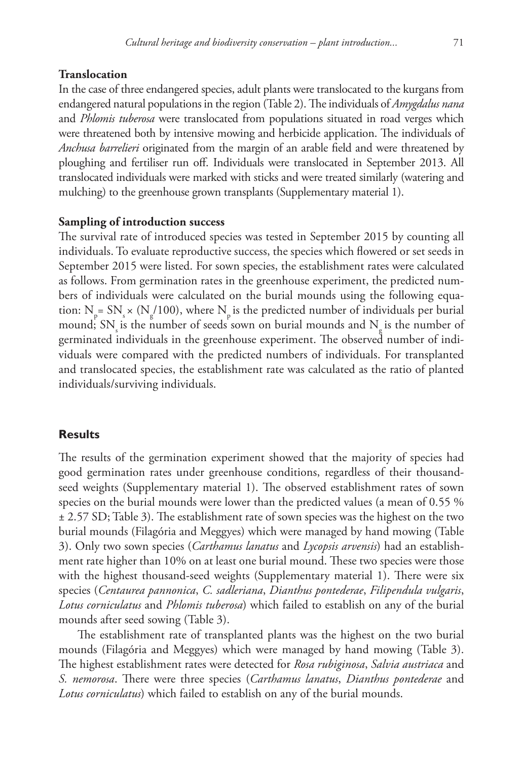### **Translocation**

In the case of three endangered species, adult plants were translocated to the kurgans from endangered natural populations in the region (Table 2). The individuals of *Amygdalus nana*  and *Phlomis tuberosa* were translocated from populations situated in road verges which were threatened both by intensive mowing and herbicide application. The individuals of *Anchusa barrelieri* originated from the margin of an arable field and were threatened by ploughing and fertiliser run off. Individuals were translocated in September 2013. All translocated individuals were marked with sticks and were treated similarly (watering and mulching) to the greenhouse grown transplants (Supplementary material 1).

### **Sampling of introduction success**

The survival rate of introduced species was tested in September 2015 by counting all individuals. To evaluate reproductive success, the species which flowered or set seeds in September 2015 were listed. For sown species, the establishment rates were calculated as follows. From germination rates in the greenhouse experiment, the predicted numbers of individuals were calculated on the burial mounds using the following equation:  $N_p = SN_s \times (N_g/100)$ , where  $N_p$  is the predicted number of individuals per burial mound; SN is the number of seeds sown on burial mounds and N is the number of germinated individuals in the greenhouse experiment. The observed number of individuals were compared with the predicted numbers of individuals. For transplanted and translocated species, the establishment rate was calculated as the ratio of planted individuals/surviving individuals.

## **Results**

The results of the germination experiment showed that the majority of species had good germination rates under greenhouse conditions, regardless of their thousandseed weights (Supplementary material 1). The observed establishment rates of sown species on the burial mounds were lower than the predicted values (a mean of 0.55 % ± 2.57 SD; Table 3). The establishment rate of sown species was the highest on the two burial mounds (Filagória and Meggyes) which were managed by hand mowing (Table 3). Only two sown species (*Carthamus lanatus* and *Lycopsis arvensis*) had an establishment rate higher than 10% on at least one burial mound. These two species were those with the highest thousand-seed weights (Supplementary material 1). There were six species (*Centaurea pannonica*, *C. sadleriana*, *Dianthus pontederae*, *Filipendula vulgaris*, *Lotus corniculatus* and *Phlomis tuberosa*) which failed to establish on any of the burial mounds after seed sowing (Table 3).

The establishment rate of transplanted plants was the highest on the two burial mounds (Filagória and Meggyes) which were managed by hand mowing (Table 3). The highest establishment rates were detected for *Rosa rubiginosa*, *Salvia austriaca* and *S. nemorosa*. There were three species (*Carthamus lanatus*, *Dianthus pontederae* and *Lotus corniculatus*) which failed to establish on any of the burial mounds.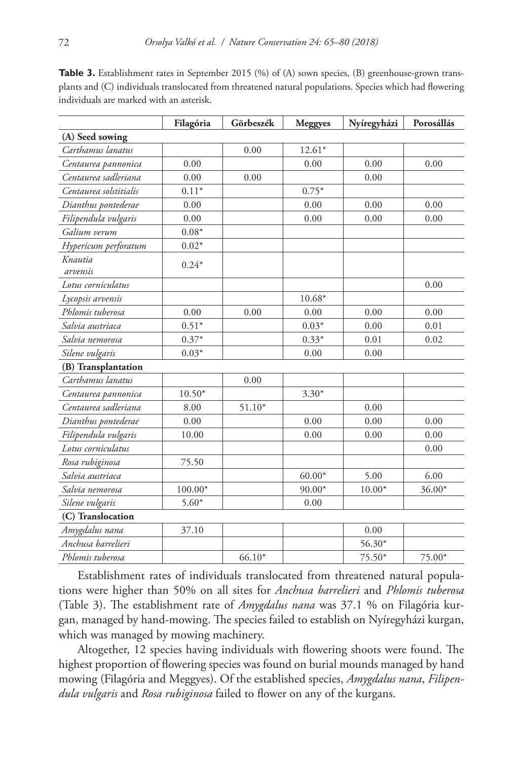|                        | Filagória | Görbeszék | <b>Meggyes</b> | Nyíregyházi | Porosállás |
|------------------------|-----------|-----------|----------------|-------------|------------|
| (A) Seed sowing        |           |           |                |             |            |
| Carthamus lanatus      |           | 0.00      | $12.61*$       |             |            |
| Centaurea pannonica    | 0.00      |           | 0.00           | 0.00        | 0.00       |
| Centaurea sadleriana   | 0.00      | 0.00      |                | 0.00        |            |
| Centaurea solstitialis | $0.11*$   |           | $0.75*$        |             |            |
| Dianthus pontederae    | 0.00      |           | 0.00           | 0.00        | 0.00       |
| Filipendula vulgaris   | 0.00      |           | 0.00           | 0.00        | 0.00       |
| Galium verum           | $0.08*$   |           |                |             |            |
| Hypericum perforatum   | $0.02*$   |           |                |             |            |
| Knautia<br>arvensis    | $0.24*$   |           |                |             |            |
| Lotus corniculatus     |           |           |                |             | 0.00       |
| Lycopsis arvensis      |           |           | $10.68*$       |             |            |
| Phlomis tuberosa       | 0.00      | 0.00      | 0.00           | 0.00        | 0.00       |
| Salvia austriaca       | $0.51*$   |           | $0.03*$        | 0.00        | 0.01       |
| Salvia nemorosa        | $0.37*$   |           | $0.33*$        | 0.01        | 0.02       |
| Silene vulgaris        | $0.03*$   |           | 0.00           | 0.00        |            |
| (B) Transplantation    |           |           |                |             |            |
| Carthamus lanatus      |           | 0.00      |                |             |            |
| Centaurea pannonica    | $10.50*$  |           | $3.30*$        |             |            |
| Centaurea sadleriana   | 8.00      | $51.10*$  |                | 0.00        |            |
| Dianthus pontederae    | 0.00      |           | 0.00           | 0.00        | 0.00       |
| Filipendula vulgaris   | 10.00     |           | 0.00           | 0.00        | 0.00       |
| Lotus corniculatus     |           |           |                |             | 0.00       |
| Rosa rubiginosa        | 75.50     |           |                |             |            |
| Salvia austriaca       |           |           | $60.00*$       | 5.00        | 6.00       |
| Salvia nemorosa        | $100.00*$ |           | 90.00*         | $10.00*$    | 36.00*     |
| Silene vulgaris        | $5.60*$   |           | 0.00           |             |            |
| (C) Translocation      |           |           |                |             |            |
| Amygdalus nana         | 37.10     |           |                | 0.00        |            |
| Anchusa barrelieri     |           |           |                | 56.30*      |            |
| Phlomis tuberosa       |           | $66.10*$  |                | 75.50*      | 75.00*     |

**Table 3.** Establishment rates in September 2015 (%) of (A) sown species, (B) greenhouse-grown transplants and (C) individuals translocated from threatened natural populations. Species which had flowering individuals are marked with an asterisk.

Establishment rates of individuals translocated from threatened natural populations were higher than 50% on all sites for *Anchusa barrelieri* and *Phlomis tuberosa*  (Table 3). The establishment rate of *Amygdalus nana* was 37.1 % on Filagória kurgan, managed by hand-mowing. The species failed to establish on Nyíregyházi kurgan, which was managed by mowing machinery.

Altogether, 12 species having individuals with flowering shoots were found. The highest proportion of flowering species was found on burial mounds managed by hand mowing (Filagória and Meggyes). Of the established species, *Amygdalus nana*, *Filipendula vulgaris* and *Rosa rubiginosa* failed to flower on any of the kurgans.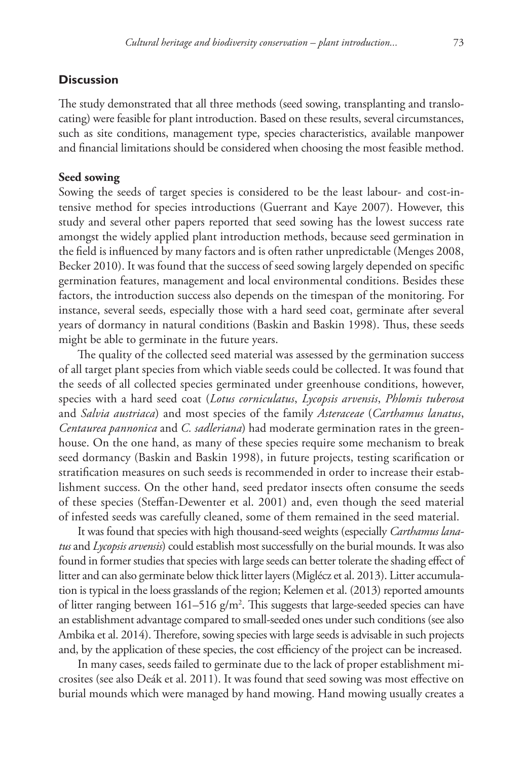## **Discussion**

The study demonstrated that all three methods (seed sowing, transplanting and translocating) were feasible for plant introduction. Based on these results, several circumstances, such as site conditions, management type, species characteristics, available manpower and financial limitations should be considered when choosing the most feasible method.

### **Seed sowing**

Sowing the seeds of target species is considered to be the least labour- and cost-intensive method for species introductions (Guerrant and Kaye 2007). However, this study and several other papers reported that seed sowing has the lowest success rate amongst the widely applied plant introduction methods, because seed germination in the field is influenced by many factors and is often rather unpredictable (Menges 2008, Becker 2010). It was found that the success of seed sowing largely depended on specific germination features, management and local environmental conditions. Besides these factors, the introduction success also depends on the timespan of the monitoring. For instance, several seeds, especially those with a hard seed coat, germinate after several years of dormancy in natural conditions (Baskin and Baskin 1998). Thus, these seeds might be able to germinate in the future years.

The quality of the collected seed material was assessed by the germination success of all target plant species from which viable seeds could be collected. It was found that the seeds of all collected species germinated under greenhouse conditions, however, species with a hard seed coat (*Lotus corniculatus*, *Lycopsis arvensis*, *Phlomis tuberosa*  and *Salvia austriaca*) and most species of the family *Asteraceae* (*Carthamus lanatus*, *Centaurea pannonica* and *C. sadleriana*) had moderate germination rates in the greenhouse. On the one hand, as many of these species require some mechanism to break seed dormancy (Baskin and Baskin 1998), in future projects, testing scarification or stratification measures on such seeds is recommended in order to increase their establishment success. On the other hand, seed predator insects often consume the seeds of these species (Steffan-Dewenter et al. 2001) and, even though the seed material of infested seeds was carefully cleaned, some of them remained in the seed material.

It was found that species with high thousand-seed weights (especially *Carthamus lanatus* and *Lycopsis arvensis*) could establish most successfully on the burial mounds. It was also found in former studies that species with large seeds can better tolerate the shading effect of litter and can also germinate below thick litter layers (Miglécz et al. 2013). Litter accumulation is typical in the loess grasslands of the region; Kelemen et al. (2013) reported amounts of litter ranging between  $161-516$  g/m<sup>2</sup>. This suggests that large-seeded species can have an establishment advantage compared to small-seeded ones under such conditions (see also Ambika et al. 2014). Therefore, sowing species with large seeds is advisable in such projects and, by the application of these species, the cost efficiency of the project can be increased.

In many cases, seeds failed to germinate due to the lack of proper establishment microsites (see also Deák et al. 2011). It was found that seed sowing was most effective on burial mounds which were managed by hand mowing. Hand mowing usually creates a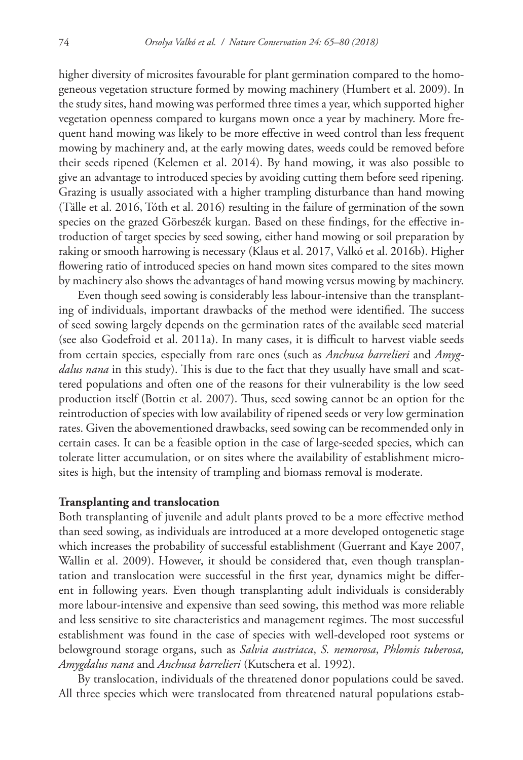higher diversity of microsites favourable for plant germination compared to the homogeneous vegetation structure formed by mowing machinery (Humbert et al. 2009). In the study sites, hand mowing was performed three times a year, which supported higher vegetation openness compared to kurgans mown once a year by machinery. More frequent hand mowing was likely to be more effective in weed control than less frequent mowing by machinery and, at the early mowing dates, weeds could be removed before their seeds ripened (Kelemen et al. 2014). By hand mowing, it was also possible to give an advantage to introduced species by avoiding cutting them before seed ripening. Grazing is usually associated with a higher trampling disturbance than hand mowing (Tälle et al. 2016, Tóth et al. 2016) resulting in the failure of germination of the sown species on the grazed Görbeszék kurgan. Based on these findings, for the effective introduction of target species by seed sowing, either hand mowing or soil preparation by raking or smooth harrowing is necessary (Klaus et al. 2017, Valkó et al. 2016b). Higher flowering ratio of introduced species on hand mown sites compared to the sites mown by machinery also shows the advantages of hand mowing versus mowing by machinery.

Even though seed sowing is considerably less labour-intensive than the transplanting of individuals, important drawbacks of the method were identified. The success of seed sowing largely depends on the germination rates of the available seed material (see also Godefroid et al. 2011a). In many cases, it is difficult to harvest viable seeds from certain species, especially from rare ones (such as *Anchusa barrelieri* and *Amygdalus nana* in this study). This is due to the fact that they usually have small and scattered populations and often one of the reasons for their vulnerability is the low seed production itself (Bottin et al. 2007). Thus, seed sowing cannot be an option for the reintroduction of species with low availability of ripened seeds or very low germination rates. Given the abovementioned drawbacks, seed sowing can be recommended only in certain cases. It can be a feasible option in the case of large-seeded species, which can tolerate litter accumulation, or on sites where the availability of establishment microsites is high, but the intensity of trampling and biomass removal is moderate.

#### **Transplanting and translocation**

Both transplanting of juvenile and adult plants proved to be a more effective method than seed sowing, as individuals are introduced at a more developed ontogenetic stage which increases the probability of successful establishment (Guerrant and Kaye 2007, Wallin et al. 2009). However, it should be considered that, even though transplantation and translocation were successful in the first year, dynamics might be different in following years. Even though transplanting adult individuals is considerably more labour-intensive and expensive than seed sowing, this method was more reliable and less sensitive to site characteristics and management regimes. The most successful establishment was found in the case of species with well-developed root systems or belowground storage organs, such as *Salvia austriaca*, *S. nemorosa*, *Phlomis tuberosa, Amygdalus nana* and *Anchusa barrelieri* (Kutschera et al. 1992).

By translocation, individuals of the threatened donor populations could be saved. All three species which were translocated from threatened natural populations estab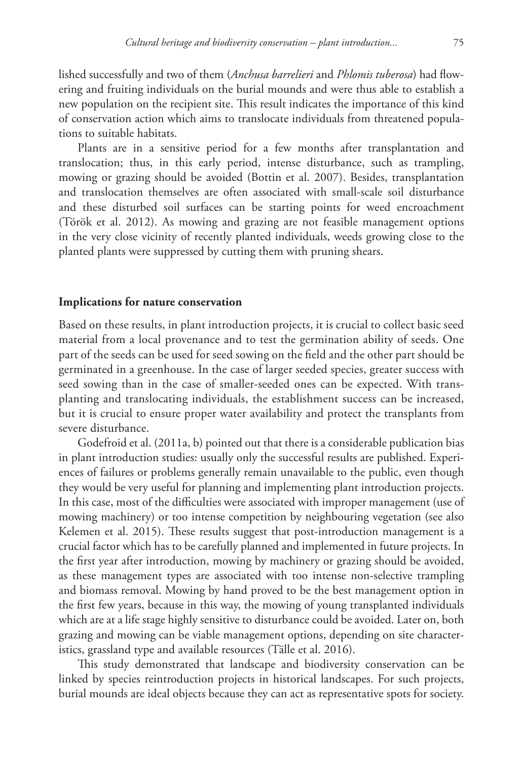lished successfully and two of them (*Anchusa barrelieri* and *Phlomis tuberosa*) had flowering and fruiting individuals on the burial mounds and were thus able to establish a new population on the recipient site. This result indicates the importance of this kind of conservation action which aims to translocate individuals from threatened populations to suitable habitats.

Plants are in a sensitive period for a few months after transplantation and translocation; thus, in this early period, intense disturbance, such as trampling, mowing or grazing should be avoided (Bottin et al. 2007). Besides, transplantation and translocation themselves are often associated with small-scale soil disturbance and these disturbed soil surfaces can be starting points for weed encroachment (Török et al. 2012). As mowing and grazing are not feasible management options in the very close vicinity of recently planted individuals, weeds growing close to the planted plants were suppressed by cutting them with pruning shears.

#### **Implications for nature conservation**

Based on these results, in plant introduction projects, it is crucial to collect basic seed material from a local provenance and to test the germination ability of seeds. One part of the seeds can be used for seed sowing on the field and the other part should be germinated in a greenhouse. In the case of larger seeded species, greater success with seed sowing than in the case of smaller-seeded ones can be expected. With transplanting and translocating individuals, the establishment success can be increased, but it is crucial to ensure proper water availability and protect the transplants from severe disturbance.

Godefroid et al. (2011a, b) pointed out that there is a considerable publication bias in plant introduction studies: usually only the successful results are published. Experiences of failures or problems generally remain unavailable to the public, even though they would be very useful for planning and implementing plant introduction projects. In this case, most of the difficulties were associated with improper management (use of mowing machinery) or too intense competition by neighbouring vegetation (see also Kelemen et al. 2015). These results suggest that post-introduction management is a crucial factor which has to be carefully planned and implemented in future projects. In the first year after introduction, mowing by machinery or grazing should be avoided, as these management types are associated with too intense non-selective trampling and biomass removal. Mowing by hand proved to be the best management option in the first few years, because in this way, the mowing of young transplanted individuals which are at a life stage highly sensitive to disturbance could be avoided. Later on, both grazing and mowing can be viable management options, depending on site characteristics, grassland type and available resources (Tälle et al. 2016).

This study demonstrated that landscape and biodiversity conservation can be linked by species reintroduction projects in historical landscapes. For such projects, burial mounds are ideal objects because they can act as representative spots for society.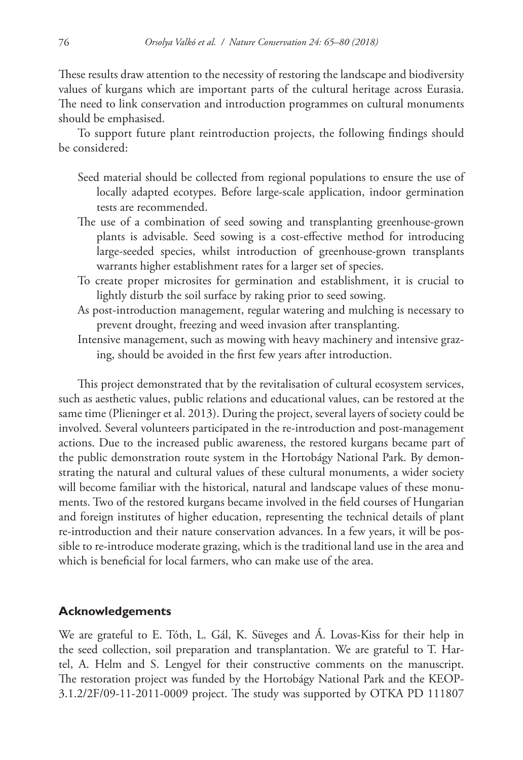These results draw attention to the necessity of restoring the landscape and biodiversity values of kurgans which are important parts of the cultural heritage across Eurasia. The need to link conservation and introduction programmes on cultural monuments should be emphasised.

To support future plant reintroduction projects, the following findings should be considered:

- Seed material should be collected from regional populations to ensure the use of locally adapted ecotypes. Before large-scale application, indoor germination tests are recommended.
- The use of a combination of seed sowing and transplanting greenhouse-grown plants is advisable. Seed sowing is a cost-effective method for introducing large-seeded species, whilst introduction of greenhouse-grown transplants warrants higher establishment rates for a larger set of species.
- To create proper microsites for germination and establishment, it is crucial to lightly disturb the soil surface by raking prior to seed sowing.
- As post-introduction management, regular watering and mulching is necessary to prevent drought, freezing and weed invasion after transplanting.
- Intensive management, such as mowing with heavy machinery and intensive grazing, should be avoided in the first few years after introduction.

This project demonstrated that by the revitalisation of cultural ecosystem services, such as aesthetic values, public relations and educational values, can be restored at the same time (Plieninger et al. 2013). During the project, several layers of society could be involved. Several volunteers participated in the re-introduction and post-management actions. Due to the increased public awareness, the restored kurgans became part of the public demonstration route system in the Hortobágy National Park. By demonstrating the natural and cultural values of these cultural monuments, a wider society will become familiar with the historical, natural and landscape values of these monuments. Two of the restored kurgans became involved in the field courses of Hungarian and foreign institutes of higher education, representing the technical details of plant re-introduction and their nature conservation advances. In a few years, it will be possible to re-introduce moderate grazing, which is the traditional land use in the area and which is beneficial for local farmers, who can make use of the area.

## **Acknowledgements**

We are grateful to E. Tóth, L. Gál, K. Süveges and Á. Lovas-Kiss for their help in the seed collection, soil preparation and transplantation. We are grateful to T. Hartel, A. Helm and S. Lengyel for their constructive comments on the manuscript. The restoration project was funded by the Hortobágy National Park and the KEOP-3.1.2/2F/09-11-2011-0009 project. The study was supported by OTKA PD 111807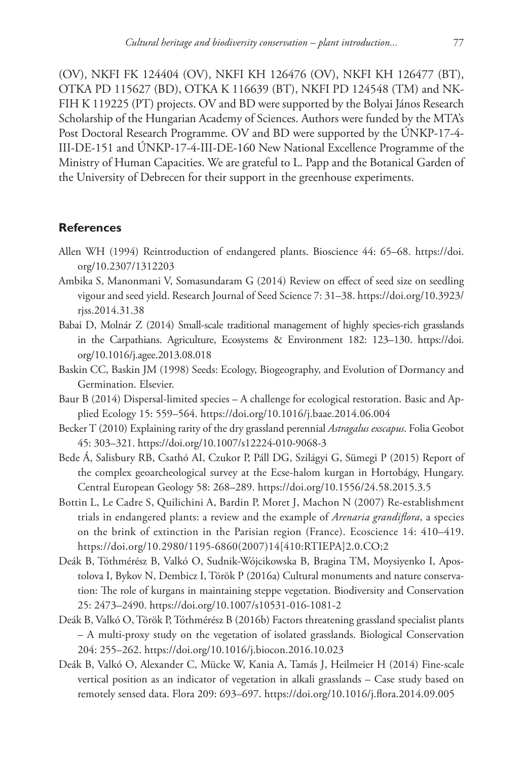(OV), NKFI FK 124404 (OV), NKFI KH 126476 (OV), NKFI KH 126477 (BT), OTKA PD 115627 (BD), OTKA K 116639 (BT), NKFI PD 124548 (TM) and NK-FIH K 119225 (PT) projects. OV and BD were supported by the Bolyai János Research Scholarship of the Hungarian Academy of Sciences. Authors were funded by the MTA's Post Doctoral Research Programme. OV and BD were supported by the ÚNKP-17-4- III-DE-151 and ÚNKP-17-4-III-DE-160 New National Excellence Programme of the Ministry of Human Capacities. We are grateful to L. Papp and the Botanical Garden of the University of Debrecen for their support in the greenhouse experiments.

## **References**

- Allen WH (1994) Reintroduction of endangered plants. Bioscience 44: 65–68. [https://doi.](https://doi.org/10.2307/1312203) [org/10.2307/1312203](https://doi.org/10.2307/1312203)
- Ambika S, Manonmani V, Somasundaram G (2014) Review on effect of seed size on seedling vigour and seed yield. Research Journal of Seed Science 7: 31–38. [https://doi.org/10.3923/](https://doi.org/10.3923/rjss.2014.31.38) [rjss.2014.31.38](https://doi.org/10.3923/rjss.2014.31.38)
- Babai D, Molnár Z (2014) Small-scale traditional management of highly species-rich grasslands in the Carpathians. Agriculture, Ecosystems & Environment 182: 123–130. [https://doi.](https://doi.org/10.1016/j.agee.2013.08.018) [org/10.1016/j.agee.2013.08.018](https://doi.org/10.1016/j.agee.2013.08.018)
- Baskin CC, Baskin JM (1998) Seeds: Ecology, Biogeography, and Evolution of Dormancy and Germination. Elsevier.
- Baur B (2014) Dispersal-limited species A challenge for ecological restoration. Basic and Applied Ecology 15: 559–564.<https://doi.org/10.1016/j.baae.2014.06.004>
- Becker T (2010) Explaining rarity of the dry grassland perennial *Astragalus exscapus*. Folia Geobot 45: 303–321.<https://doi.org/10.1007/s12224-010-9068-3>
- Bede Á, Salisbury RB, Csathó AI, Czukor P, Páll DG, Szilágyi G, Sümegi P (2015) Report of the complex geoarcheological survey at the Ecse-halom kurgan in Hortobágy, Hungary. Central European Geology 58: 268–289. <https://doi.org/10.1556/24.58.2015.3.5>
- Bottin L, Le Cadre S, Quilichini A, Bardin P, Moret J, Machon N (2007) Re-establishment trials in endangered plants: a review and the example of *Arenaria grandiflora*, a species on the brink of extinction in the Parisian region (France). Ecoscience 14: 410–419. [https://doi.org/10.2980/1195-6860\(2007\)14\[410:RTIEPA\]2.0.CO;2](https://doi.org/10.2980/1195-6860(2007)14%5B410:RTIEPA%5D2.0.CO;2)
- Deák B, Tóthmérész B, Valkó O, Sudnik-Wójcikowska B, Bragina TM, Moysiyenko I, Apostolova I, Bykov N, Dembicz I, Török P (2016a) Cultural monuments and nature conservation: The role of kurgans in maintaining steppe vegetation. Biodiversity and Conservation 25: 2473–2490. <https://doi.org/10.1007/s10531-016-1081-2>
- Deák B, Valkó O, Török P, Tóthmérész B (2016b) Factors threatening grassland specialist plants – A multi-proxy study on the vegetation of isolated grasslands. Biological Conservation 204: 255–262.<https://doi.org/10.1016/j.biocon.2016.10.023>
- Deák B, Valkó O, Alexander C, Mücke W, Kania A, Tamás J, Heilmeier H (2014) Fine-scale vertical position as an indicator of vegetation in alkali grasslands – Case study based on remotely sensed data. Flora 209: 693–697. <https://doi.org/10.1016/j.flora.2014.09.005>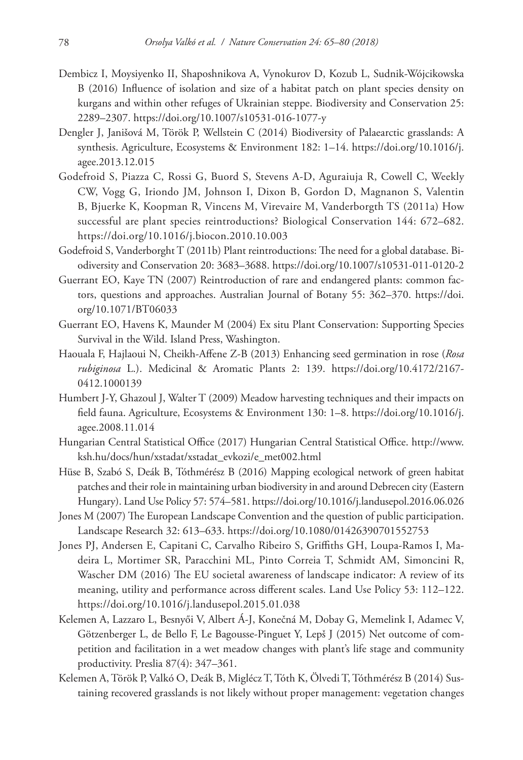- Dembicz I, Moysiyenko II, Shaposhnikova A, Vynokurov D, Kozub L, Sudnik-Wójcikowska B (2016) Influence of isolation and size of a habitat patch on plant species density on kurgans and within other refuges of Ukrainian steppe. Biodiversity and Conservation 25: 2289–2307.<https://doi.org/10.1007/s10531-016-1077-y>
- Dengler J, Janišová M, Török P, Wellstein C (2014) Biodiversity of Palaearctic grasslands: A synthesis. Agriculture, Ecosystems & Environment 182: 1–14. [https://doi.org/10.1016/j.](https://doi.org/10.1016/j.agee.2013.12.015) [agee.2013.12.015](https://doi.org/10.1016/j.agee.2013.12.015)
- Godefroid S, Piazza C, Rossi G, Buord S, Stevens A-D, Aguraiuja R, Cowell C, Weekly CW, Vogg G, Iriondo JM, Johnson I, Dixon B, Gordon D, Magnanon S, Valentin B, Bjuerke K, Koopman R, Vincens M, Virevaire M, Vanderborgth TS (2011a) How successful are plant species reintroductions? Biological Conservation 144: 672–682. <https://doi.org/10.1016/j.biocon.2010.10.003>
- Godefroid S, Vanderborght T (2011b) Plant reintroductions: The need for a global database. Biodiversity and Conservation 20: 3683–3688. <https://doi.org/10.1007/s10531-011-0120-2>
- Guerrant EO, Kaye TN (2007) Reintroduction of rare and endangered plants: common factors, questions and approaches. Australian Journal of Botany 55: 362–370. [https://doi.](https://doi.org/10.1071/BT06033) [org/10.1071/BT06033](https://doi.org/10.1071/BT06033)
- Guerrant EO, Havens K, Maunder M (2004) Ex situ Plant Conservation: Supporting Species Survival in the Wild. Island Press, Washington.
- Haouala F, Hajlaoui N, Cheikh-Affene Z-B (2013) Enhancing seed germination in rose (*Rosa rubiginosa* L.). Medicinal & Aromatic Plants 2: 139. [https://doi.org/10.4172/2167-](https://doi.org/10.4172/2167-0412.1000139) [0412.1000139](https://doi.org/10.4172/2167-0412.1000139)
- Humbert J-Y, Ghazoul J, Walter T (2009) Meadow harvesting techniques and their impacts on field fauna. Agriculture, Ecosystems & Environment 130: 1–8. [https://doi.org/10.1016/j.](https://doi.org/10.1016/j.agee.2008.11.014) [agee.2008.11.014](https://doi.org/10.1016/j.agee.2008.11.014)
- Hungarian Central Statistical Office (2017) Hungarian Central Statistical Office. [http://www.](http://www.ksh.hu/docs/hun/xstadat/xstadat_evkozi/e_met002.html) [ksh.hu/docs/hun/xstadat/xstadat\\_evkozi/e\\_met002.html](http://www.ksh.hu/docs/hun/xstadat/xstadat_evkozi/e_met002.html)
- Hüse B, Szabó S, Deák B, Tóthmérész B (2016) Mapping ecological network of green habitat patches and their role in maintaining urban biodiversity in and around Debrecen city (Eastern Hungary). Land Use Policy 57: 574–581.<https://doi.org/10.1016/j.landusepol.2016.06.026>
- Jones M (2007) The European Landscape Convention and the question of public participation. Landscape Research 32: 613–633. <https://doi.org/10.1080/01426390701552753>
- Jones PJ, Andersen E, Capitani C, Carvalho Ribeiro S, Griffiths GH, Loupa-Ramos I, Madeira L, Mortimer SR, Paracchini ML, Pinto Correia T, Schmidt AM, Simoncini R, Wascher DM (2016) The EU societal awareness of landscape indicator: A review of its meaning, utility and performance across different scales. Land Use Policy 53: 112–122. <https://doi.org/10.1016/j.landusepol.2015.01.038>
- Kelemen A, Lazzaro L, Besnyői V, Albert Á-J, Konečná M, Dobay G, Memelink I, Adamec V, Götzenberger L, de Bello F, Le Bagousse-Pinguet Y, Lepš J (2015) Net outcome of competition and facilitation in a wet meadow changes with plant's life stage and community productivity. Preslia 87(4): 347–361.
- Kelemen A, Török P, Valkó O, Deák B, Miglécz T, Tóth K, Ölvedi T, Tóthmérész B (2014) Sustaining recovered grasslands is not likely without proper management: vegetation changes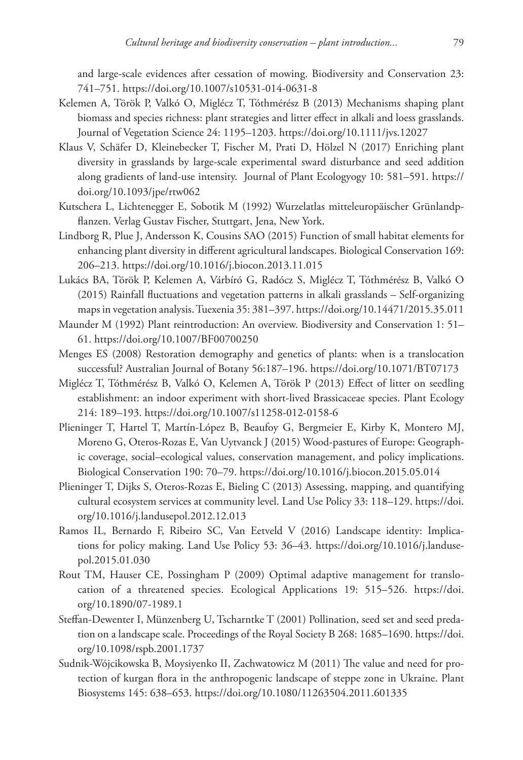and large-scale evidences after cessation of mowing. Biodiversity and Conservation 23: 741–751. <https://doi.org/10.1007/s10531-014-0631-8>

- Kelemen A, Török P, Valkó O, Miglécz T, Tóthmérész B (2013) Mechanisms shaping plant biomass and species richness: plant strategies and litter effect in alkali and loess grasslands. Journal of Vegetation Science 24: 1195–1203. <https://doi.org/10.1111/jvs.12027>
- Klaus V, Schäfer D, Kleinebecker T, Fischer M, Prati D, Hölzel N (2017) Enriching plant diversity in grasslands by large-scale experimental sward disturbance and seed addition along gradients of land-use intensity. Journal of Plant Ecologyogy 10: 581–591. [https://](https://doi.org/10.1093/jpe/rtw062) [doi.org/10.1093/jpe/rtw062](https://doi.org/10.1093/jpe/rtw062)
- Kutschera L, Lichtenegger E, Sobotik M (1992) Wurzelatlas mitteleuropäischer Grünlandpflanzen. Verlag Gustav Fischer, Stuttgart, Jena, New York.
- Lindborg R, Plue J, Andersson K, Cousins SAO (2015) Function of small habitat elements for enhancing plant diversity in different agricultural landscapes. Biological Conservation 169: 206–213.<https://doi.org/10.1016/j.biocon.2013.11.015>
- Lukács BA, Török P, Kelemen A, Várbíró G, Radócz S, Miglécz T, Tóthmérész B, Valkó O (2015) Rainfall fluctuations and vegetation patterns in alkali grasslands – Self-organizing maps in vegetation analysis. Tuexenia 35: 381–397.<https://doi.org/10.14471/2015.35.011>
- Maunder M (1992) Plant reintroduction: An overview. Biodiversity and Conservation 1: 51– 61.<https://doi.org/10.1007/BF00700250>
- Menges ES (2008) Restoration demography and genetics of plants: when is a translocation successful? Australian Journal of Botany 56:187–196. <https://doi.org/10.1071/BT07173>
- Miglécz T, Tóthmérész B, Valkó O, Kelemen A, Török P (2013) Effect of litter on seedling establishment: an indoor experiment with short-lived Brassicaceae species. Plant Ecology 214: 189–193.<https://doi.org/10.1007/s11258-012-0158-6>
- Plieninger T, Hartel T, Martín-López B, Beaufoy G, Bergmeier E, Kirby K, Montero MJ, Moreno G, Oteros-Rozas E, Van Uytvanck J (2015) Wood-pastures of Europe: Geographic coverage, social–ecological values, conservation management, and policy implications. Biological Conservation 190: 70–79.<https://doi.org/10.1016/j.biocon.2015.05.014>
- Plieninger T, Dijks S, Oteros-Rozas E, Bieling C (2013) Assessing, mapping, and quantifying cultural ecosystem services at community level. Land Use Policy 33: 118–129. [https://doi.](https://doi.org/10.1016/j.landusepol.2012.12.013) [org/10.1016/j.landusepol.2012.12.013](https://doi.org/10.1016/j.landusepol.2012.12.013)
- Ramos IL, Bernardo F, Ribeiro SC, Van Eetveld V (2016) Landscape identity: Implications for policy making. Land Use Policy 53: 36–43. [https://doi.org/10.1016/j.landuse](https://doi.org/10.1016/j.landusepol.2015.01.030)[pol.2015.01.030](https://doi.org/10.1016/j.landusepol.2015.01.030)
- Rout TM, Hauser CE, Possingham P (2009) Optimal adaptive management for translocation of a threatened species. Ecological Applications 19: 515–526. [https://doi.](https://doi.org/10.1890/07-1989.1) [org/10.1890/07-1989.1](https://doi.org/10.1890/07-1989.1)
- Steffan-Dewenter I, Münzenberg U, Tscharntke T (2001) Pollination, seed set and seed predation on a landscape scale. Proceedings of the Royal Society B 268: 1685–1690. [https://doi.](https://doi.org/10.1098/rspb.2001.1737) [org/10.1098/rspb.2001.1737](https://doi.org/10.1098/rspb.2001.1737)
- Sudnik-Wójcikowska B, Moysiyenko II, Zachwatowicz M (2011) The value and need for protection of kurgan flora in the anthropogenic landscape of steppe zone in Ukraine. Plant Biosystems 145: 638–653.<https://doi.org/10.1080/11263504.2011.601335>